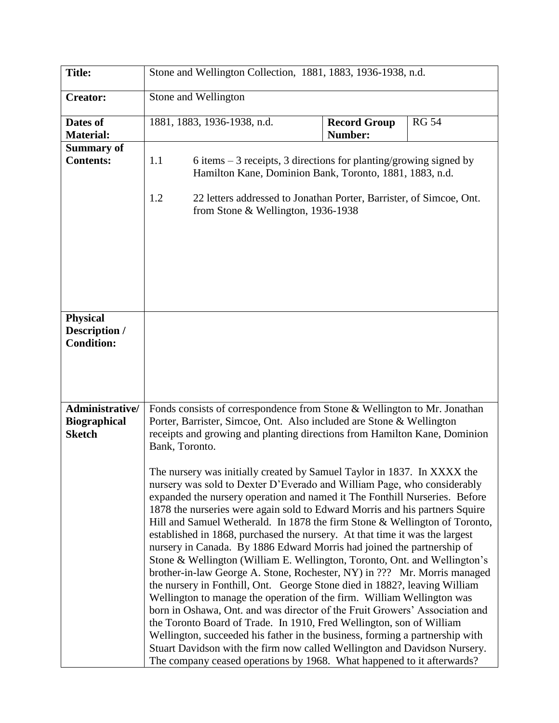| <b>Title:</b>                                           | Stone and Wellington Collection, 1881, 1883, 1936-1938, n.d. |                                                                                                                                                                                                                                                                                                                                                                                                                                                                                                                                                                                                                                                                                                                                                                                                                                                                                                                                                                                                                                                                                                                                                                                                                                                                                                                                                                                                                                                                                                       |                                |              |
|---------------------------------------------------------|--------------------------------------------------------------|-------------------------------------------------------------------------------------------------------------------------------------------------------------------------------------------------------------------------------------------------------------------------------------------------------------------------------------------------------------------------------------------------------------------------------------------------------------------------------------------------------------------------------------------------------------------------------------------------------------------------------------------------------------------------------------------------------------------------------------------------------------------------------------------------------------------------------------------------------------------------------------------------------------------------------------------------------------------------------------------------------------------------------------------------------------------------------------------------------------------------------------------------------------------------------------------------------------------------------------------------------------------------------------------------------------------------------------------------------------------------------------------------------------------------------------------------------------------------------------------------------|--------------------------------|--------------|
| <b>Creator:</b>                                         | Stone and Wellington                                         |                                                                                                                                                                                                                                                                                                                                                                                                                                                                                                                                                                                                                                                                                                                                                                                                                                                                                                                                                                                                                                                                                                                                                                                                                                                                                                                                                                                                                                                                                                       |                                |              |
| Dates of<br><b>Material:</b>                            |                                                              | 1881, 1883, 1936-1938, n.d.                                                                                                                                                                                                                                                                                                                                                                                                                                                                                                                                                                                                                                                                                                                                                                                                                                                                                                                                                                                                                                                                                                                                                                                                                                                                                                                                                                                                                                                                           | <b>Record Group</b><br>Number: | <b>RG 54</b> |
| <b>Summary of</b><br><b>Contents:</b>                   | 1.1                                                          | 6 items $-3$ receipts, 3 directions for planting/growing signed by<br>Hamilton Kane, Dominion Bank, Toronto, 1881, 1883, n.d.                                                                                                                                                                                                                                                                                                                                                                                                                                                                                                                                                                                                                                                                                                                                                                                                                                                                                                                                                                                                                                                                                                                                                                                                                                                                                                                                                                         |                                |              |
|                                                         | 1.2                                                          | 22 letters addressed to Jonathan Porter, Barrister, of Simcoe, Ont.<br>from Stone & Wellington, 1936-1938                                                                                                                                                                                                                                                                                                                                                                                                                                                                                                                                                                                                                                                                                                                                                                                                                                                                                                                                                                                                                                                                                                                                                                                                                                                                                                                                                                                             |                                |              |
| <b>Physical</b><br>Description /<br><b>Condition:</b>   |                                                              |                                                                                                                                                                                                                                                                                                                                                                                                                                                                                                                                                                                                                                                                                                                                                                                                                                                                                                                                                                                                                                                                                                                                                                                                                                                                                                                                                                                                                                                                                                       |                                |              |
| Administrative/<br><b>Biographical</b><br><b>Sketch</b> | Bank, Toronto.                                               | Fonds consists of correspondence from Stone & Wellington to Mr. Jonathan<br>Porter, Barrister, Simcoe, Ont. Also included are Stone & Wellington<br>receipts and growing and planting directions from Hamilton Kane, Dominion<br>The nursery was initially created by Samuel Taylor in 1837. In XXXX the<br>nursery was sold to Dexter D'Everado and William Page, who considerably<br>expanded the nursery operation and named it The Fonthill Nurseries. Before<br>1878 the nurseries were again sold to Edward Morris and his partners Squire<br>Hill and Samuel Wetherald. In 1878 the firm Stone & Wellington of Toronto,<br>established in 1868, purchased the nursery. At that time it was the largest<br>nursery in Canada. By 1886 Edward Morris had joined the partnership of<br>Stone & Wellington (William E. Wellington, Toronto, Ont. and Wellington's<br>brother-in-law George A. Stone, Rochester, NY) in ??? Mr. Morris managed<br>the nursery in Fonthill, Ont. George Stone died in 1882?, leaving William<br>Wellington to manage the operation of the firm. William Wellington was<br>born in Oshawa, Ont. and was director of the Fruit Growers' Association and<br>the Toronto Board of Trade. In 1910, Fred Wellington, son of William<br>Wellington, succeeded his father in the business, forming a partnership with<br>Stuart Davidson with the firm now called Wellington and Davidson Nursery.<br>The company ceased operations by 1968. What happened to it afterwards? |                                |              |